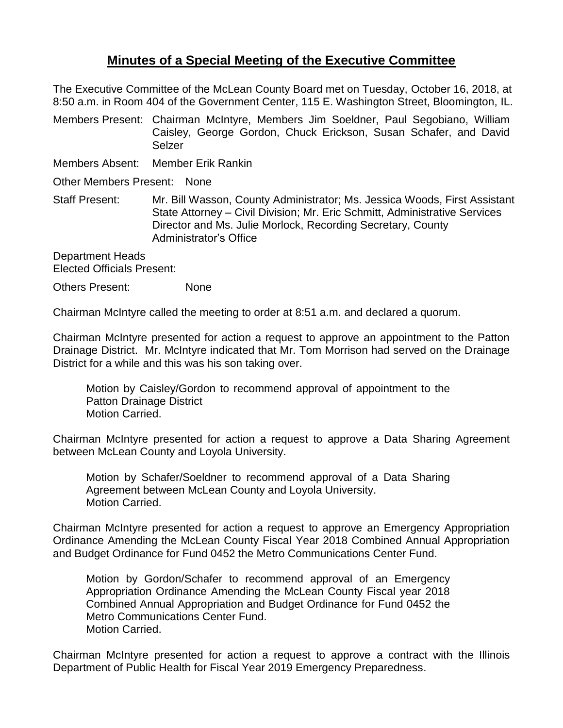## **Minutes of a Special Meeting of the Executive Committee**

The Executive Committee of the McLean County Board met on Tuesday, October 16, 2018, at 8:50 a.m. in Room 404 of the Government Center, 115 E. Washington Street, Bloomington, IL.

Members Present: Chairman McIntyre, Members Jim Soeldner, Paul Segobiano, William Caisley, George Gordon, Chuck Erickson, Susan Schafer, and David Selzer

Members Absent: Member Erik Rankin

Other Members Present: None

Staff Present: Mr. Bill Wasson, County Administrator; Ms. Jessica Woods, First Assistant State Attorney – Civil Division; Mr. Eric Schmitt, Administrative Services Director and Ms. Julie Morlock, Recording Secretary, County Administrator's Office

Department Heads Elected Officials Present:

Others Present: None

Chairman McIntyre called the meeting to order at 8:51 a.m. and declared a quorum.

Chairman McIntyre presented for action a request to approve an appointment to the Patton Drainage District. Mr. McIntyre indicated that Mr. Tom Morrison had served on the Drainage District for a while and this was his son taking over.

Motion by Caisley/Gordon to recommend approval of appointment to the Patton Drainage District Motion Carried.

Chairman McIntyre presented for action a request to approve a Data Sharing Agreement between McLean County and Loyola University.

Motion by Schafer/Soeldner to recommend approval of a Data Sharing Agreement between McLean County and Loyola University. Motion Carried.

Chairman McIntyre presented for action a request to approve an Emergency Appropriation Ordinance Amending the McLean County Fiscal Year 2018 Combined Annual Appropriation and Budget Ordinance for Fund 0452 the Metro Communications Center Fund.

Motion by Gordon/Schafer to recommend approval of an Emergency Appropriation Ordinance Amending the McLean County Fiscal year 2018 Combined Annual Appropriation and Budget Ordinance for Fund 0452 the Metro Communications Center Fund. Motion Carried.

Chairman McIntyre presented for action a request to approve a contract with the Illinois Department of Public Health for Fiscal Year 2019 Emergency Preparedness.